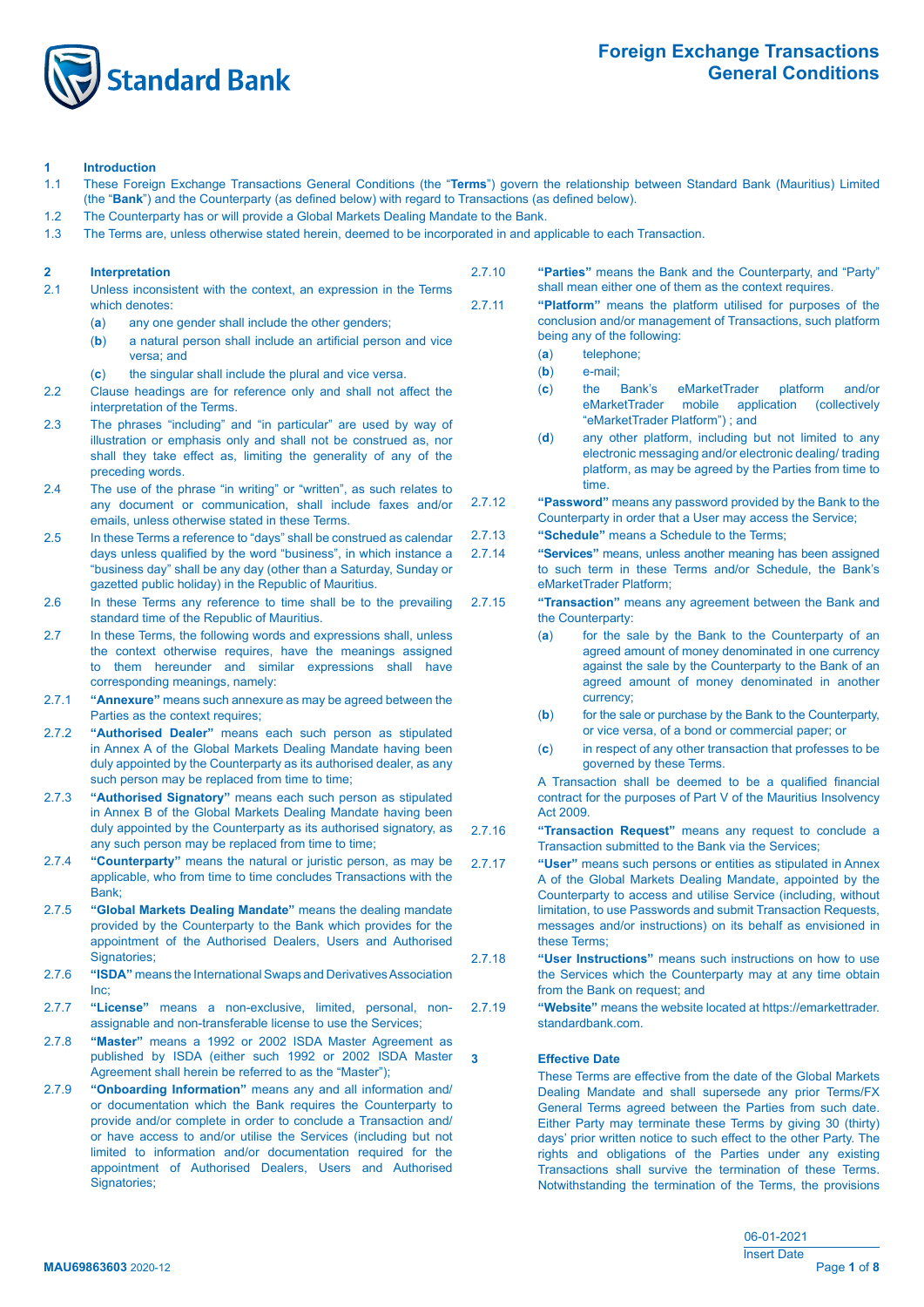

### **1 Introduction**

- 1.1 These Foreign Exchange Transactions General Conditions (the "**Terms**") govern the relationship between Standard Bank (Mauritius) Limited (the "**Bank**") and the Counterparty (as defined below) with regard to Transactions (as defined below).
- 1.2 The Counterparty has or will provide a Global Markets Dealing Mandate to the Bank.
- 1.3 The Terms are, unless otherwise stated herein, deemed to be incorporated in and applicable to each Transaction.

# **2 Interpretation**

- 2.1 Unless inconsistent with the context, an expression in the Terms which denotes:
	- (**a**) any one gender shall include the other genders;
	- (b) a natural person shall include an artificial person and vice versa; and
	- (**c**) the singular shall include the plural and vice versa.
- 2.2 Clause headings are for reference only and shall not affect the interpretation of the Terms.
- 2.3 The phrases "including" and "in particular" are used by way of illustration or emphasis only and shall not be construed as, nor shall they take effect as, limiting the generality of any of the preceding words.
- 2.4 The use of the phrase "in writing" or "written", as such relates to any document or communication, shall include faxes and/or emails, unless otherwise stated in these Terms.
- 2.5 In these Terms a reference to "days" shall be construed as calendar days unless qualified by the word "business", in which instance a "business day" shall be any day (other than a Saturday, Sunday or gazetted public holiday) in the Republic of Mauritius.
- 2.6 In these Terms any reference to time shall be to the prevailing standard time of the Republic of Mauritius.
- 2.7 In these Terms, the following words and expressions shall, unless the context otherwise requires, have the meanings assigned to them hereunder and similar expressions shall have corresponding meanings, namely:
- 2.7.1 **"Annexure"** means such annexure as may be agreed between the Parties as the context requires:
- 2.7.2 **"Authorised Dealer"** means each such person as stipulated in Annex A of the Global Markets Dealing Mandate having been duly appointed by the Counterparty as its authorised dealer, as any such person may be replaced from time to time;
- 2.7.3 **"Authorised Signatory"** means each such person as stipulated in Annex B of the Global Markets Dealing Mandate having been duly appointed by the Counterparty as its authorised signatory, as any such person may be replaced from time to time;
- 2.7.4 **"Counterparty"** means the natural or juristic person, as may be applicable, who from time to time concludes Transactions with the Bank;
- 2.7.5 **"Global Markets Dealing Mandate"** means the dealing mandate provided by the Counterparty to the Bank which provides for the appointment of the Authorised Dealers, Users and Authorised Signatories;
- 2.7.6 **"ISDA"** means the International Swaps and Derivatives Association Inc;
- 2.7.7 **"License"** means a non-exclusive, limited, personal, non- assignable and non-transferable license to use the Services;
- 2.7.8 **"Master"** means a 1992 or 2002 ISDA Master Agreement as published by ISDA (either such 1992 or 2002 ISDA Master Agreement shall herein be referred to as the "Master");
- 2.7.9 **"Onboarding Information"** means any and all information and/ or documentation which the Bank requires the Counterparty to provide and/or complete in order to conclude a Transaction and/ or have access to and/or utilise the Services (including but not limited to information and/or documentation required for the appointment of Authorised Dealers, Users and Authorised Signatories:
- 2.7.10 **"Parties"** means the Bank and the Counterparty, and "Party" shall mean either one of them as the context requires.
- 2.7.11 **"Platform"** means the platform utilised for purposes of the conclusion and/or management of Transactions, such platform being any of the following:
	- (**a**) telephone;
	- (**b**) e-mail;
	- (**c**) the Bank's eMarketTrader platform and/or eMarketTrader mobile application (collectively "eMarketTrader Platform") ; and
	- (**d**) any other platform, including but not limited to any electronic messaging and/or electronic dealing/ trading platform, as may be agreed by the Parties from time to time.
- 2.7.12 **"Password"** means any password provided by the Bank to the Counterparty in order that a User may access the Service;
- 2.7.13 **"Schedule"** means a Schedule to the Terms;
- 2.7.14 **"Services"** means, unless another meaning has been assigned to such term in these Terms and/or Schedule, the Bank's eMarketTrader Platform;
- 2.7.15 **"Transaction"** means any agreement between the Bank and the Counterparty:
	- (**a**) for the sale by the Bank to the Counterparty of an agreed amount of money denominated in one currency against the sale by the Counterparty to the Bank of an agreed amount of money denominated in another currency;
	- (**b**) for the sale or purchase by the Bank to the Counterparty, or vice versa, of a bond or commercial paper; or
	- (**c**) in respect of any other transaction that professes to be governed by these Terms.

 A Transaction shall be deemed to be a qualified financial contract for the purposes of Part V of the Mauritius Insolvency Act 2009.

- 2.7.16 **"Transaction Request"** means any request to conclude a Transaction submitted to the Bank via the Services;
- 2.7.17 **"User"** means such persons or entities as stipulated in Annex A of the Global Markets Dealing Mandate, appointed by the Counterparty to access and utilise Service (including, without limitation, to use Passwords and submit Transaction Requests, messages and/or instructions) on its behalf as envisioned in these Terms;
- 2.7.18 **"User Instructions"** means such instructions on how to use the Services which the Counterparty may at any time obtain from the Bank on request; and
- 2.7.19 **"Website"** means the website located at https://emarkettrader. standardbank.com.

# **3 Effective Date**

 These Terms are effective from the date of the Global Markets Dealing Mandate and shall supersede any prior Terms/FX General Terms agreed between the Parties from such date. Either Party may terminate these Terms by giving 30 (thirty) days' prior written notice to such effect to the other Party. The rights and obligations of the Parties under any existing Transactions shall survive the termination of these Terms. Notwithstanding the termination of the Terms, the provisions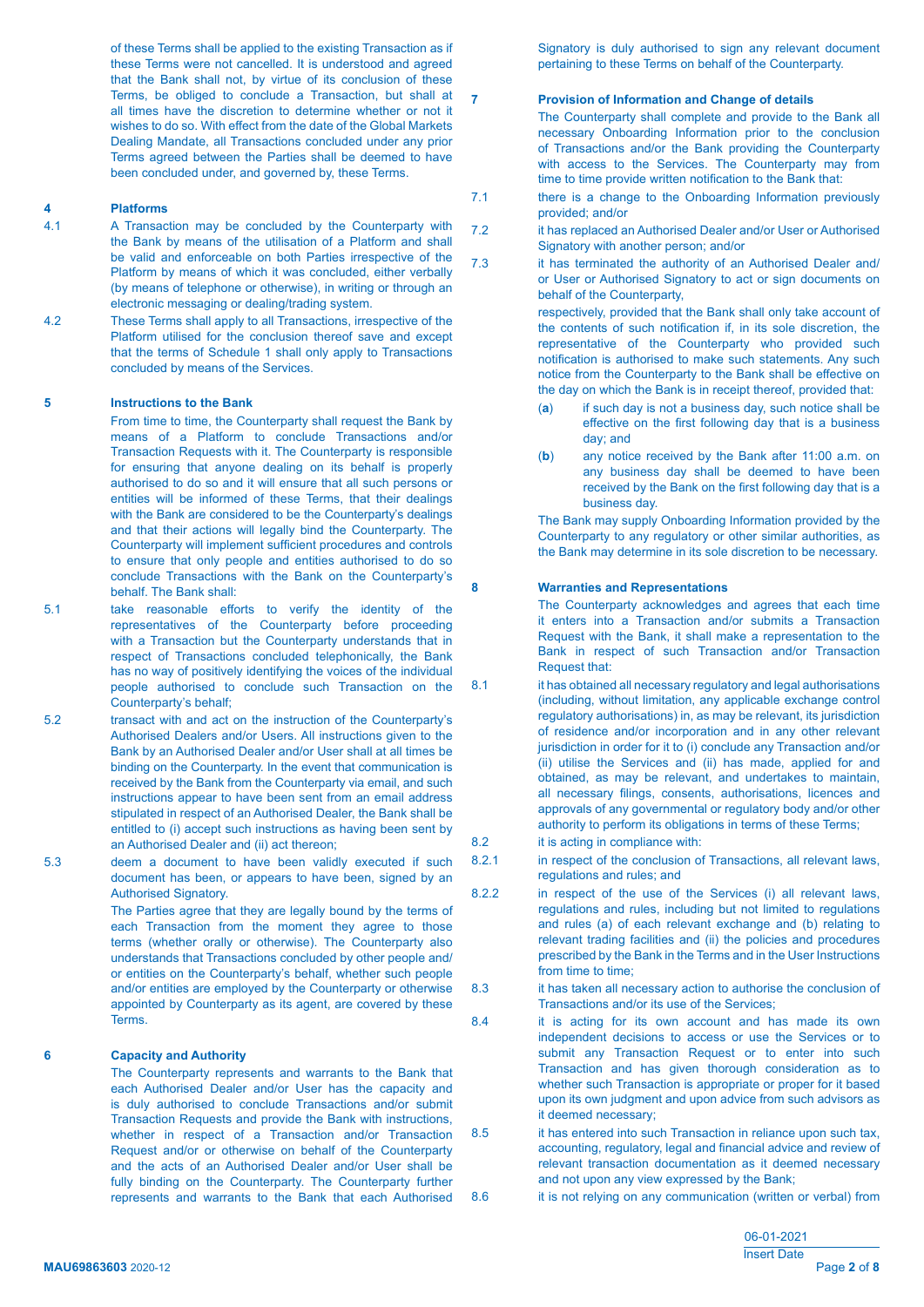of these Terms shall be applied to the existing Transaction as if these Terms were not cancelled. It is understood and agreed that the Bank shall not, by virtue of its conclusion of these Terms, be obliged to conclude a Transaction, but shall at all times have the discretion to determine whether or not it wishes to do so. With effect from the date of the Global Markets Dealing Mandate, all Transactions concluded under any prior Terms agreed between the Parties shall be deemed to have been concluded under, and governed by, these Terms.

### **4 Platforms**

- 4.1 A Transaction may be concluded by the Counterparty with the Bank by means of the utilisation of a Platform and shall be valid and enforceable on both Parties irrespective of the Platform by means of which it was concluded, either verbally (by means of telephone or otherwise), in writing or through an electronic messaging or dealing/trading system.
- 4.2 These Terms shall apply to all Transactions, irrespective of the Platform utilised for the conclusion thereof save and except that the terms of Schedule 1 shall only apply to Transactions concluded by means of the Services.

#### **5 Instructions to the Bank**

 From time to time, the Counterparty shall request the Bank by means of a Platform to conclude Transactions and/or Transaction Requests with it. The Counterparty is responsible for ensuring that anyone dealing on its behalf is properly authorised to do so and it will ensure that all such persons or entities will be informed of these Terms, that their dealings with the Bank are considered to be the Counterparty's dealings and that their actions will legally bind the Counterparty. The Counterparty will implement sufficient procedures and controls to ensure that only people and entities authorised to do so conclude Transactions with the Bank on the Counterparty's behalf. The Bank shall:

5.1 take reasonable efforts to verify the identity of the representatives of the Counterparty before proceeding with a Transaction but the Counterparty understands that in respect of Transactions concluded telephonically, the Bank has no way of positively identifying the voices of the individual people authorised to conclude such Transaction on the Counterparty's behalf;

5.2 transact with and act on the instruction of the Counterparty's Authorised Dealers and/or Users. All instructions given to the Bank by an Authorised Dealer and/or User shall at all times be binding on the Counterparty. In the event that communication is received by the Bank from the Counterparty via email, and such instructions appear to have been sent from an email address stipulated in respect of an Authorised Dealer, the Bank shall be entitled to (i) accept such instructions as having been sent by an Authorised Dealer and (ii) act thereon;

5.3 deem a document to have been validly executed if such document has been, or appears to have been, signed by an Authorised Signatory.

> The Parties agree that they are legally bound by the terms of each Transaction from the moment they agree to those terms (whether orally or otherwise). The Counterparty also understands that Transactions concluded by other people and/ or entities on the Counterparty's behalf, whether such people and/or entities are employed by the Counterparty or otherwise appointed by Counterparty as its agent, are covered by these **Terms**

#### **6 Capacity and Authority**

 The Counterparty represents and warrants to the Bank that each Authorised Dealer and/or User has the capacity and is duly authorised to conclude Transactions and/or submit Transaction Requests and provide the Bank with instructions, whether in respect of a Transaction and/or Transaction Request and/or or otherwise on behalf of the Counterparty and the acts of an Authorised Dealer and/or User shall be fully binding on the Counterparty. The Counterparty further represents and warrants to the Bank that each Authorised Signatory is duly authorised to sign any relevant document pertaining to these Terms on behalf of the Counterparty.

#### **7 Provision of Information and Change of details**

 The Counterparty shall complete and provide to the Bank all necessary Onboarding Information prior to the conclusion of Transactions and/or the Bank providing the Counterparty with access to the Services. The Counterparty may from time to time provide written notification to the Bank that:

- 7.1 **there is a change to the Onboarding Information previously**  provided; and/or
- 7.2 it has replaced an Authorised Dealer and/or User or Authorised Signatory with another person; and/or
- 7.3 it has terminated the authority of an Authorised Dealer and/ or User or Authorised Signatory to act or sign documents on behalf of the Counterparty,

 respectively, provided that the Bank shall only take account of the contents of such notification if, in its sole discretion, the representative of the Counterparty who provided such notification is authorised to make such statements. Any such notice from the Counterparty to the Bank shall be effective on the day on which the Bank is in receipt thereof, provided that:

- (**a**) if such day is not a business day, such notice shall be effective on the first following day that is a business day; and
- (**b**) any notice received by the Bank after 11:00 a.m. on any business day shall be deemed to have been received by the Bank on the first following day that is a business day.

 The Bank may supply Onboarding Information provided by the Counterparty to any regulatory or other similar authorities, as the Bank may determine in its sole discretion to be necessary.

### **8 Warranties and Representations**

 The Counterparty acknowledges and agrees that each time it enters into a Transaction and/or submits a Transaction Request with the Bank, it shall make a representation to the Bank in respect of such Transaction and/or Transaction Request that:

- 8.1 it has obtained all necessary regulatory and legal authorisations (including, without limitation, any applicable exchange control regulatory authorisations) in, as may be relevant, its jurisdiction of residence and/or incorporation and in any other relevant jurisdiction in order for it to (i) conclude any Transaction and/or (ii) utilise the Services and (ii) has made, applied for and obtained, as may be relevant, and undertakes to maintain, all necessary filings, consents, authorisations, licences and approvals of any governmental or regulatory body and/or other authority to perform its obligations in terms of these Terms;
- 8.2 it is acting in compliance with:
- 8.2.1 **in respect of the conclusion of Transactions, all relevant laws,** regulations and rules; and
- 8.2.2 **in respect of the use of the Services (i) all relevant laws,**  regulations and rules, including but not limited to regulations and rules (a) of each relevant exchange and (b) relating to relevant trading facilities and (ii) the policies and procedures prescribed by the Bank in the Terms and in the User Instructions from time to time;
- 8.3 it has taken all necessary action to authorise the conclusion of Transactions and/or its use of the Services;
- 8.4 it is acting for its own account and has made its own independent decisions to access or use the Services or to submit any Transaction Request or to enter into such Transaction and has given thorough consideration as to whether such Transaction is appropriate or proper for it based upon its own judgment and upon advice from such advisors as it deemed necessary;
- 8.5 it has entered into such Transaction in reliance upon such tax, accounting, regulatory, legal and financial advice and review of relevant transaction documentation as it deemed necessary and not upon any view expressed by the Bank;
- 8.6 it is not relying on any communication (written or verbal) from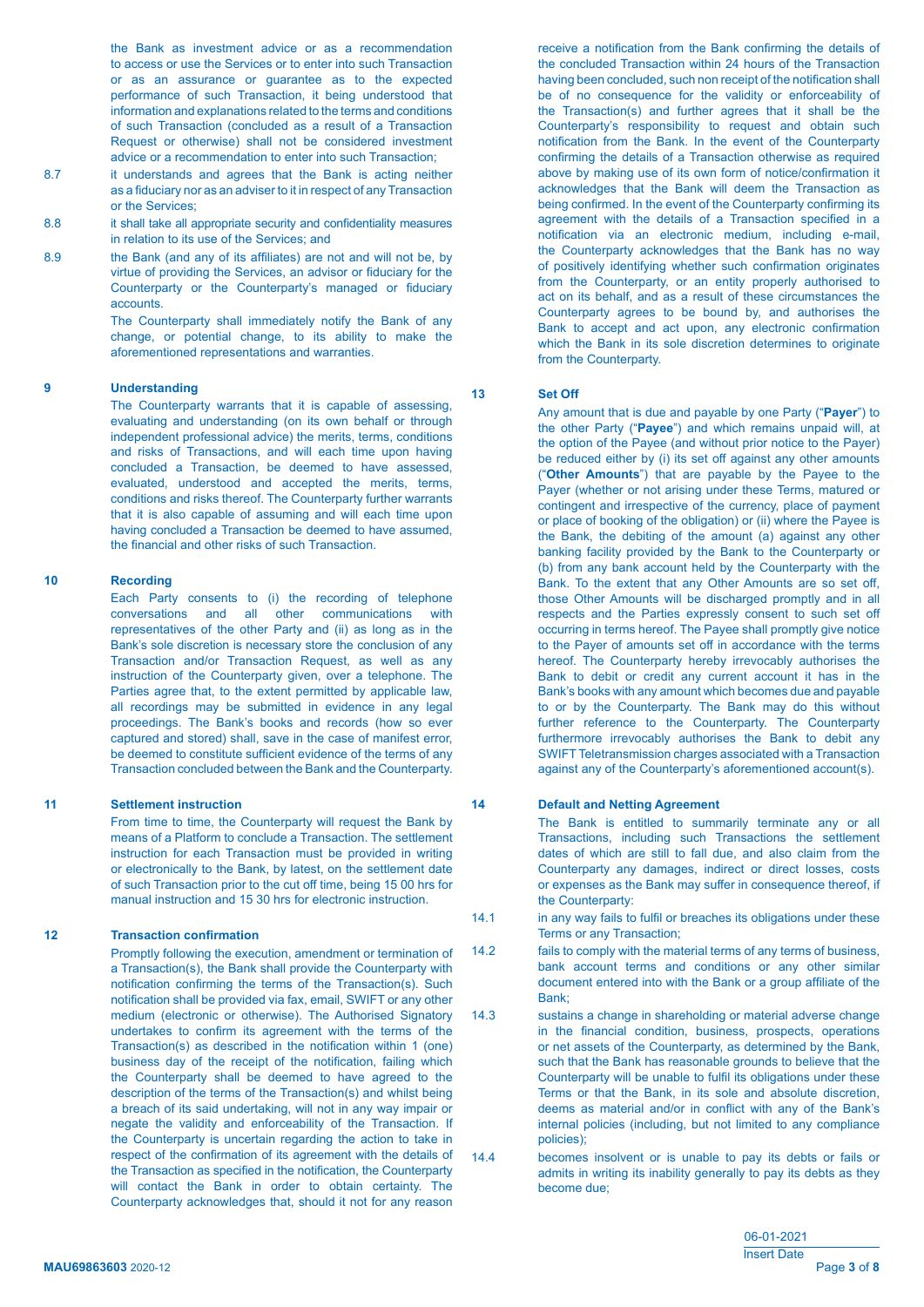the Bank as investment advice or as a recommendation to access or use the Services or to enter into such Transaction or as an assurance or guarantee as to the expected performance of such Transaction, it being understood that information and explanations related to the terms and conditions of such Transaction (concluded as a result of a Transaction Request or otherwise) shall not be considered investment advice or a recommendation to enter into such Transaction;

- 8.7 it understands and agrees that the Bank is acting neither as a fiduciary nor as an adviser to it in respect of any Transaction or the Services;
- 8.8 **it shall take all appropriate security and confidentiality measures**  in relation to its use of the Services; and
- 8.9 **the Bank (and any of its affiliates) are not and will not be, by**  virtue of providing the Services, an advisor or fiduciary for the Counterparty or the Counterparty's managed or fiduciary accounts.

 The Counterparty shall immediately notify the Bank of any change, or potential change, to its ability to make the aforementioned representations and warranties.

### **9 Understanding**

 The Counterparty warrants that it is capable of assessing, evaluating and understanding (on its own behalf or through independent professional advice) the merits, terms, conditions and risks of Transactions, and will each time upon having concluded a Transaction, be deemed to have assessed, evaluated, understood and accepted the merits, terms, conditions and risks thereof. The Counterparty further warrants that it is also capable of assuming and will each time upon having concluded a Transaction be deemed to have assumed, the financial and other risks of such Transaction.

# **10 Recording**

 Each Party consents to (i) the recording of telephone conversations and all other communications with representatives of the other Party and (ii) as long as in the Bank's sole discretion is necessary store the conclusion of any Transaction and/or Transaction Request, as well as any instruction of the Counterparty given, over a telephone. The Parties agree that, to the extent permitted by applicable law, all recordings may be submitted in evidence in any legal proceedings. The Bank's books and records (how so ever captured and stored) shall, save in the case of manifest error, be deemed to constitute sufficient evidence of the terms of any Transaction concluded between the Bank and the Counterparty.

#### **11 Settlement instruction**

 From time to time, the Counterparty will request the Bank by means of a Platform to conclude a Transaction. The settlement instruction for each Transaction must be provided in writing or electronically to the Bank, by latest, on the settlement date of such Transaction prior to the cut off time, being 15 00 hrs for manual instruction and 15 30 hrs for electronic instruction.

# **12 Transaction confirmation**

 Promptly following the execution, amendment or termination of a Transaction(s), the Bank shall provide the Counterparty with notification confirming the terms of the Transaction(s). Such notification shall be provided via fax, email, SWIFT or any other medium (electronic or otherwise). The Authorised Signatory undertakes to confirm its agreement with the terms of the Transaction(s) as described in the notification within 1 (one) business day of the receipt of the notification, failing which the Counterparty shall be deemed to have agreed to the description of the terms of the Transaction(s) and whilst being a breach of its said undertaking, will not in any way impair or negate the validity and enforceability of the Transaction. If the Counterparty is uncertain regarding the action to take in respect of the confirmation of its agreement with the details of the Transaction as specified in the notification, the Counterparty will contact the Bank in order to obtain certainty. The Counterparty acknowledges that, should it not for any reason

 receive a notification from the Bank confirming the details of the concluded Transaction within 24 hours of the Transaction having been concluded, such non receipt of the notification shall be of no consequence for the validity or enforceability of the Transaction(s) and further agrees that it shall be the Counterparty's responsibility to request and obtain such notification from the Bank. In the event of the Counterparty confirming the details of a Transaction otherwise as required above by making use of its own form of notice/confirmation it acknowledges that the Bank will deem the Transaction as being confirmed. In the event of the Counterparty confirming its agreement with the details of a Transaction specified in a notification via an electronic medium, including e-mail, the Counterparty acknowledges that the Bank has no way of positively identifying whether such confirmation originates from the Counterparty, or an entity properly authorised to act on its behalf, and as a result of these circumstances the Counterparty agrees to be bound by, and authorises the Bank to accept and act upon, any electronic confirmation which the Bank in its sole discretion determines to originate from the Counterparty.

# **13 Set Off**

 Any amount that is due and payable by one Party ("**Payer**") to the other Party ("**Payee**") and which remains unpaid will, at the option of the Payee (and without prior notice to the Payer) be reduced either by (i) its set off against any other amounts ("**Other Amounts**") that are payable by the Payee to the Payer (whether or not arising under these Terms, matured or contingent and irrespective of the currency, place of payment or place of booking of the obligation) or (ii) where the Payee is the Bank, the debiting of the amount (a) against any other banking facility provided by the Bank to the Counterparty or (b) from any bank account held by the Counterparty with the Bank. To the extent that any Other Amounts are so set off, those Other Amounts will be discharged promptly and in all respects and the Parties expressly consent to such set off occurring in terms hereof. The Payee shall promptly give notice to the Payer of amounts set off in accordance with the terms hereof. The Counterparty hereby irrevocably authorises the Bank to debit or credit any current account it has in the Bank's books with any amount which becomes due and payable to or by the Counterparty. The Bank may do this without further reference to the Counterparty. The Counterparty furthermore irrevocably authorises the Bank to debit any SWIFT Teletransmission charges associated with a Transaction against any of the Counterparty's aforementioned account(s).

#### **14 Default and Netting Agreement**

 The Bank is entitled to summarily terminate any or all Transactions, including such Transactions the settlement dates of which are still to fall due, and also claim from the Counterparty any damages, indirect or direct losses, costs or expenses as the Bank may suffer in consequence thereof, if the Counterparty:

- 14.1 **in any way fails to fulfil or breaches its obligations under these** Terms or any Transaction;
- 14.2 fails to comply with the material terms of any terms of business, bank account terms and conditions or any other similar document entered into with the Bank or a group affiliate of the Bank;
- 14.3 sustains a change in shareholding or material adverse change in the financial condition, business, prospects, operations or net assets of the Counterparty, as determined by the Bank, such that the Bank has reasonable grounds to believe that the Counterparty will be unable to fulfil its obligations under these Terms or that the Bank, in its sole and absolute discretion, deems as material and/or in conflict with any of the Bank's internal policies (including, but not limited to any compliance policies);
- 14.4 becomes insolvent or is unable to pay its debts or fails or admits in writing its inability generally to pay its debts as they become due;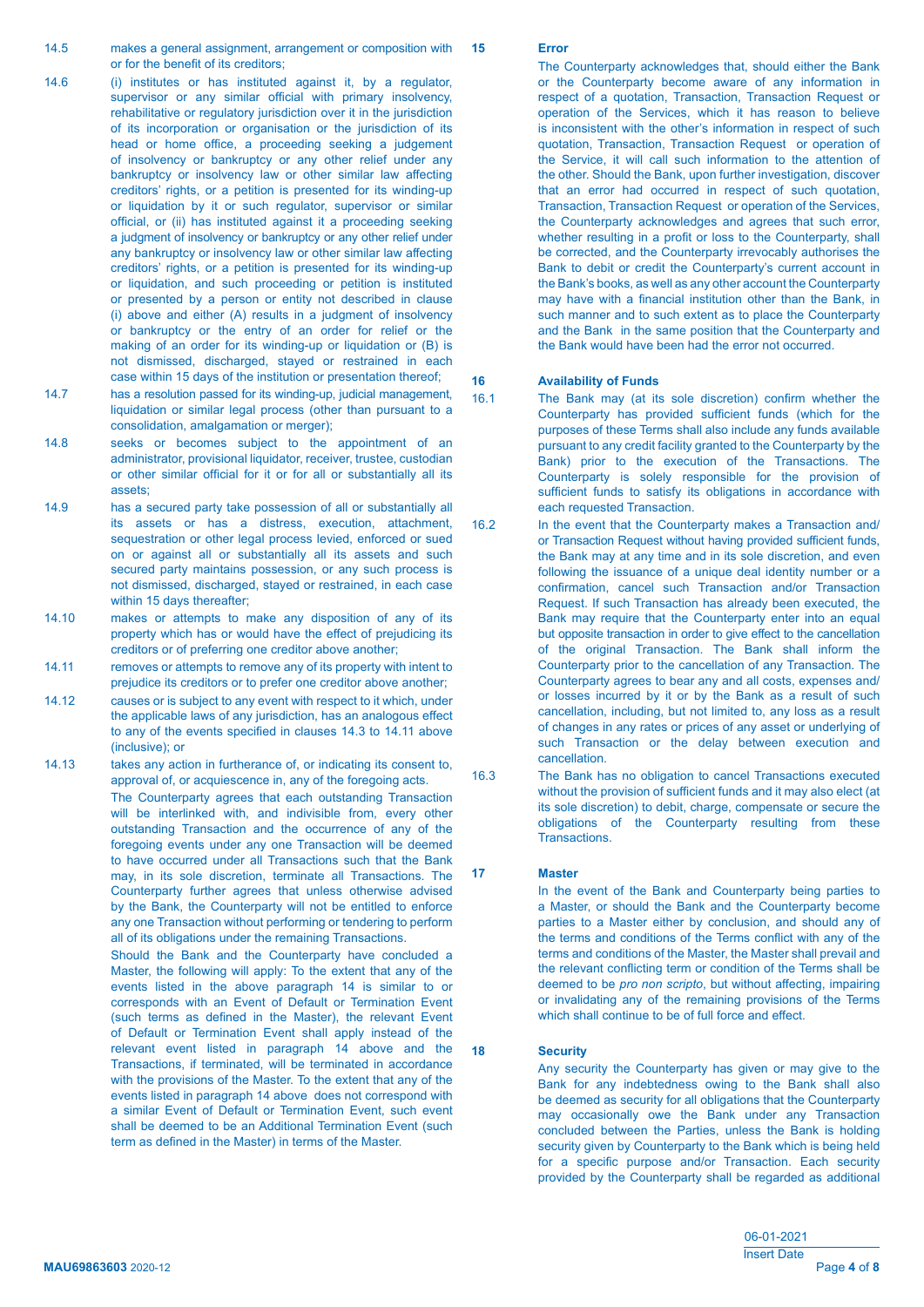- 14.6 (i) institutes or has instituted against it, by a regulator, supervisor or any similar official with primary insolvency, rehabilitative or regulatory jurisdiction over it in the jurisdiction of its incorporation or organisation or the jurisdiction of its head or home office, a proceeding seeking a judgement of insolvency or bankruptcy or any other relief under any bankruptcy or insolvency law or other similar law affecting creditors' rights, or a petition is presented for its winding-up or liquidation by it or such regulator, supervisor or similar official, or (ii) has instituted against it a proceeding seeking a judgment of insolvency or bankruptcy or any other relief under any bankruptcy or insolvency law or other similar law affecting creditors' rights, or a petition is presented for its winding-up or liquidation, and such proceeding or petition is instituted or presented by a person or entity not described in clause (i) above and either (A) results in a judgment of insolvency or bankruptcy or the entry of an order for relief or the making of an order for its winding-up or liquidation or (B) is not dismissed, discharged, stayed or restrained in each case within 15 days of the institution or presentation thereof;
- 14.7 has a resolution passed for its winding-up, judicial management, liquidation or similar legal process (other than pursuant to a consolidation, amalgamation or merger);
- 14.8 seeks or becomes subject to the appointment of an administrator, provisional liquidator, receiver, trustee, custodian or other similar official for it or for all or substantially all its assets;
- 14.9 has a secured party take possession of all or substantially all its assets or has a distress, execution, attachment, sequestration or other legal process levied, enforced or sued on or against all or substantially all its assets and such secured party maintains possession, or any such process is not dismissed, discharged, stayed or restrained, in each case within 15 days thereafter;
- 14.10 makes or attempts to make any disposition of any of its property which has or would have the effect of prejudicing its creditors or of preferring one creditor above another;
- 14.11 **The removes or attempts to remove any of its property with intent to**  prejudice its creditors or to prefer one creditor above another;
- 14.12 causes or is subject to any event with respect to it which, under the applicable laws of any jurisdiction, has an analogous effect to any of the events specified in clauses 14.3 to 14.11 above (inclusive); or
- 14.13 takes any action in furtherance of, or indicating its consent to, approval of, or acquiescence in, any of the foregoing acts. The Counterparty agrees that each outstanding Transaction will be interlinked with, and indivisible from, every other outstanding Transaction and the occurrence of any of the foregoing events under any one Transaction will be deemed

 to have occurred under all Transactions such that the Bank may, in its sole discretion, terminate all Transactions. The Counterparty further agrees that unless otherwise advised by the Bank, the Counterparty will not be entitled to enforce any one Transaction without performing or tendering to perform all of its obligations under the remaining Transactions.

 Should the Bank and the Counterparty have concluded a Master, the following will apply: To the extent that any of the events listed in the above paragraph 14 is similar to or corresponds with an Event of Default or Termination Event (such terms as defined in the Master), the relevant Event of Default or Termination Event shall apply instead of the relevant event listed in paragraph 14 above and the Transactions, if terminated, will be terminated in accordance with the provisions of the Master. To the extent that any of the events listed in paragraph 14 above does not correspond with a similar Event of Default or Termination Event, such event shall be deemed to be an Additional Termination Event (such term as defined in the Master) in terms of the Master.

### **15 Error**

 The Counterparty acknowledges that, should either the Bank or the Counterparty become aware of any information in respect of a quotation, Transaction, Transaction Request or operation of the Services, which it has reason to believe is inconsistent with the other's information in respect of such quotation, Transaction, Transaction Request or operation of the Service, it will call such information to the attention of the other. Should the Bank, upon further investigation, discover that an error had occurred in respect of such quotation, Transaction, Transaction Request or operation of the Services, the Counterparty acknowledges and agrees that such error, whether resulting in a profit or loss to the Counterparty, shall be corrected, and the Counterparty irrevocably authorises the Bank to debit or credit the Counterparty's current account in the Bank's books, as well as any other account the Counterparty may have with a financial institution other than the Bank, in such manner and to such extent as to place the Counterparty and the Bank in the same position that the Counterparty and the Bank would have been had the error not occurred.

# **16 Availability of Funds**

- 16.1 The Bank may (at its sole discretion) confirm whether the Counterparty has provided sufficient funds (which for the purposes of these Terms shall also include any funds available pursuant to any credit facility granted to the Counterparty by the Bank) prior to the execution of the Transactions. The Counterparty is solely responsible for the provision of sufficient funds to satisfy its obligations in accordance with each requested Transaction.
- 16.2 In the event that the Counterparty makes a Transaction and/ or Transaction Request without having provided sufficient funds, the Bank may at any time and in its sole discretion, and even following the issuance of a unique deal identity number or a confirmation, cancel such Transaction and/or Transaction Request. If such Transaction has already been executed, the Bank may require that the Counterparty enter into an equal but opposite transaction in order to give effect to the cancellation of the original Transaction. The Bank shall inform the Counterparty prior to the cancellation of any Transaction. The Counterparty agrees to bear any and all costs, expenses and/ or losses incurred by it or by the Bank as a result of such cancellation, including, but not limited to, any loss as a result of changes in any rates or prices of any asset or underlying of such Transaction or the delay between execution and cancellation.
- 16.3 The Bank has no obligation to cancel Transactions executed without the provision of sufficient funds and it may also elect (at its sole discretion) to debit, charge, compensate or secure the obligations of the Counterparty resulting from these Transactions.

### **17 Master**

 In the event of the Bank and Counterparty being parties to a Master, or should the Bank and the Counterparty become parties to a Master either by conclusion, and should any of the terms and conditions of the Terms conflict with any of the terms and conditions of the Master, the Master shall prevail and the relevant conflicting term or condition of the Terms shall be deemed to be *pro non scripto*, but without affecting, impairing or invalidating any of the remaining provisions of the Terms which shall continue to be of full force and effect.

#### **18 Security**

 Any security the Counterparty has given or may give to the Bank for any indebtedness owing to the Bank shall also be deemed as security for all obligations that the Counterparty may occasionally owe the Bank under any Transaction concluded between the Parties, unless the Bank is holding security given by Counterparty to the Bank which is being held for a specific purpose and/or Transaction. Each security provided by the Counterparty shall be regarded as additional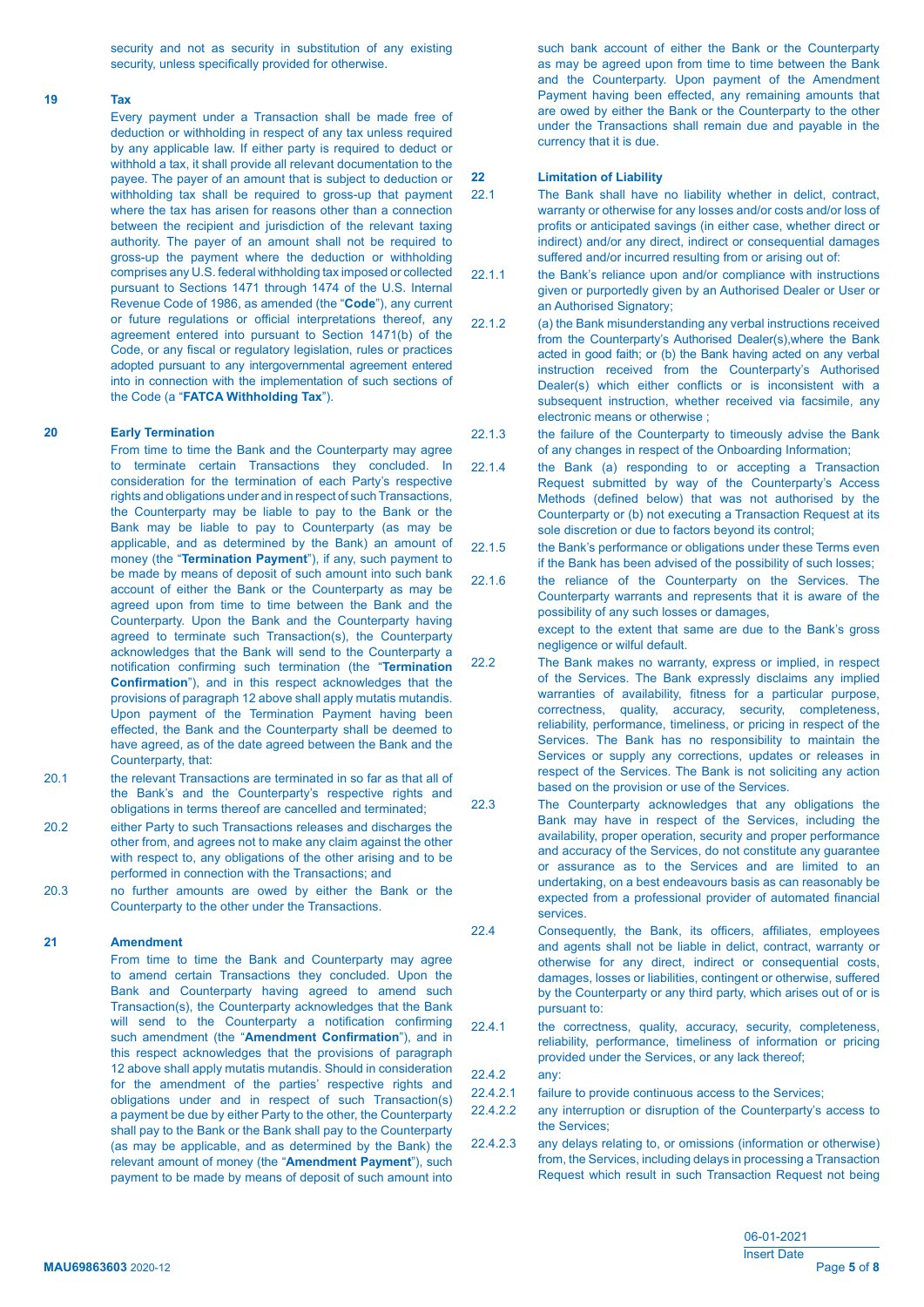security and not as security in substitution of any existing security, unless specifically provided for otherwise.

#### **19 Tax**

 Every payment under a Transaction shall be made free of deduction or withholding in respect of any tax unless required by any applicable law. If either party is required to deduct or withhold a tax, it shall provide all relevant documentation to the payee. The payer of an amount that is subject to deduction or withholding tax shall be required to gross-up that payment where the tax has arisen for reasons other than a connection between the recipient and jurisdiction of the relevant taxing authority. The payer of an amount shall not be required to gross-up the payment where the deduction or withholding comprises any U.S. federal withholding tax imposed or collected pursuant to Sections 1471 through 1474 of the U.S. Internal Revenue Code of 1986, as amended (the "**Code**"), any current or future regulations or official interpretations thereof, any agreement entered into pursuant to Section 1471(b) of the Code, or any fiscal or regulatory legislation, rules or practices adopted pursuant to any intergovernmental agreement entered into in connection with the implementation of such sections of the Code (a "**FATCA Withholding Tax**").

# **20 Early Termination**

 From time to time the Bank and the Counterparty may agree to terminate certain Transactions they concluded. In consideration for the termination of each Party's respective rights and obligations under and in respect of such Transactions, the Counterparty may be liable to pay to the Bank or the Bank may be liable to pay to Counterparty (as may be applicable, and as determined by the Bank) an amount of money (the "**Termination Payment**"), if any, such payment to be made by means of deposit of such amount into such bank account of either the Bank or the Counterparty as may be agreed upon from time to time between the Bank and the Counterparty. Upon the Bank and the Counterparty having agreed to terminate such Transaction(s), the Counterparty acknowledges that the Bank will send to the Counterparty a notification confirming such termination (the "**Termination Confirmation**"), and in this respect acknowledges that the provisions of paragraph 12 above shall apply mutatis mutandis. Upon payment of the Termination Payment having been effected, the Bank and the Counterparty shall be deemed to have agreed, as of the date agreed between the Bank and the Counterparty, that:

- 20.1 **the relevant Transactions are terminated in so far as that all of**  the Bank's and the Counterparty's respective rights and obligations in terms thereof are cancelled and terminated;
- 20.2 either Party to such Transactions releases and discharges the other from, and agrees not to make any claim against the other with respect to, any obligations of the other arising and to be performed in connection with the Transactions; and
- 20.3 no further amounts are owed by either the Bank or the Counterparty to the other under the Transactions.

### **21 Amendment**

 From time to time the Bank and Counterparty may agree to amend certain Transactions they concluded. Upon the Bank and Counterparty having agreed to amend such Transaction(s), the Counterparty acknowledges that the Bank will send to the Counterparty a notification confirming such amendment (the "**Amendment Confirmation**"), and in this respect acknowledges that the provisions of paragraph 12 above shall apply mutatis mutandis. Should in consideration for the amendment of the parties' respective rights and obligations under and in respect of such Transaction(s) a payment be due by either Party to the other, the Counterparty shall pay to the Bank or the Bank shall pay to the Counterparty (as may be applicable, and as determined by the Bank) the relevant amount of money (the "**Amendment Payment**"), such payment to be made by means of deposit of such amount into

such bank account of either the Bank or the Counterparty as may be agreed upon from time to time between the Bank and the Counterparty. Upon payment of the Amendment Payment having been effected, any remaining amounts that are owed by either the Bank or the Counterparty to the other under the Transactions shall remain due and payable in the currency that it is due.

#### **22 Limitation of Liability**

- 22.1 The Bank shall have no liability whether in delict, contract, warranty or otherwise for any losses and/or costs and/or loss of profits or anticipated savings (in either case, whether direct or indirect) and/or any direct, indirect or consequential damages suffered and/or incurred resulting from or arising out of:
- 22.1.1 the Bank's reliance upon and/or compliance with instructions given or purportedly given by an Authorised Dealer or User or an Authorised Signatory;
- 22.1.2 (a) the Bank misunderstanding any verbal instructions received from the Counterparty's Authorised Dealer(s),where the Bank acted in good faith; or (b) the Bank having acted on any verbal instruction received from the Counterparty's Authorised Dealer(s) which either conflicts or is inconsistent with a subsequent instruction, whether received via facsimile, any electronic means or otherwise ;
- 22.1.3 the failure of the Counterparty to timeously advise the Bank of any changes in respect of the Onboarding Information;
- 22.1.4 the Bank (a) responding to or accepting a Transaction Request submitted by way of the Counterparty's Access Methods (defined below) that was not authorised by the Counterparty or (b) not executing a Transaction Request at its sole discretion or due to factors beyond its control;
- 22.1.5 the Bank's performance or obligations under these Terms even if the Bank has been advised of the possibility of such losses;
- 22.1.6 the reliance of the Counterparty on the Services. The Counterparty warrants and represents that it is aware of the possibility of any such losses or damages, except to the extent that same are due to the Bank's gross negligence or wilful default.
- 22.2 The Bank makes no warranty, express or implied, in respect of the Services. The Bank expressly disclaims any implied warranties of availability, fitness for a particular purpose, correctness, quality, accuracy, security, completeness, reliability, performance, timeliness, or pricing in respect of the Services. The Bank has no responsibility to maintain the Services or supply any corrections, updates or releases in respect of the Services. The Bank is not soliciting any action based on the provision or use of the Services.
- 22.3 The Counterparty acknowledges that any obligations the Bank may have in respect of the Services, including the availability, proper operation, security and proper performance and accuracy of the Services, do not constitute any guarantee or assurance as to the Services and are limited to an undertaking, on a best endeavours basis as can reasonably be expected from a professional provider of automated financial services.
- 22.4 Consequently, the Bank, its officers, affiliates, employees and agents shall not be liable in delict, contract, warranty or otherwise for any direct, indirect or consequential costs, damages, losses or liabilities, contingent or otherwise, suffered by the Counterparty or any third party, which arises out of or is pursuant to:
- 22.4.1 the correctness, quality, accuracy, security, completeness, reliability, performance, timeliness of information or pricing provided under the Services, or any lack thereof;
- 22.4.2 any:
	- 22.4.2.1 failure to provide continuous access to the Services;
	- 22.4.2.2 any interruption or disruption of the Counterparty's access to the Services;
	- 22.4.2.3 any delays relating to, or omissions (information or otherwise) from, the Services, including delays in processing a Transaction Request which result in such Transaction Request not being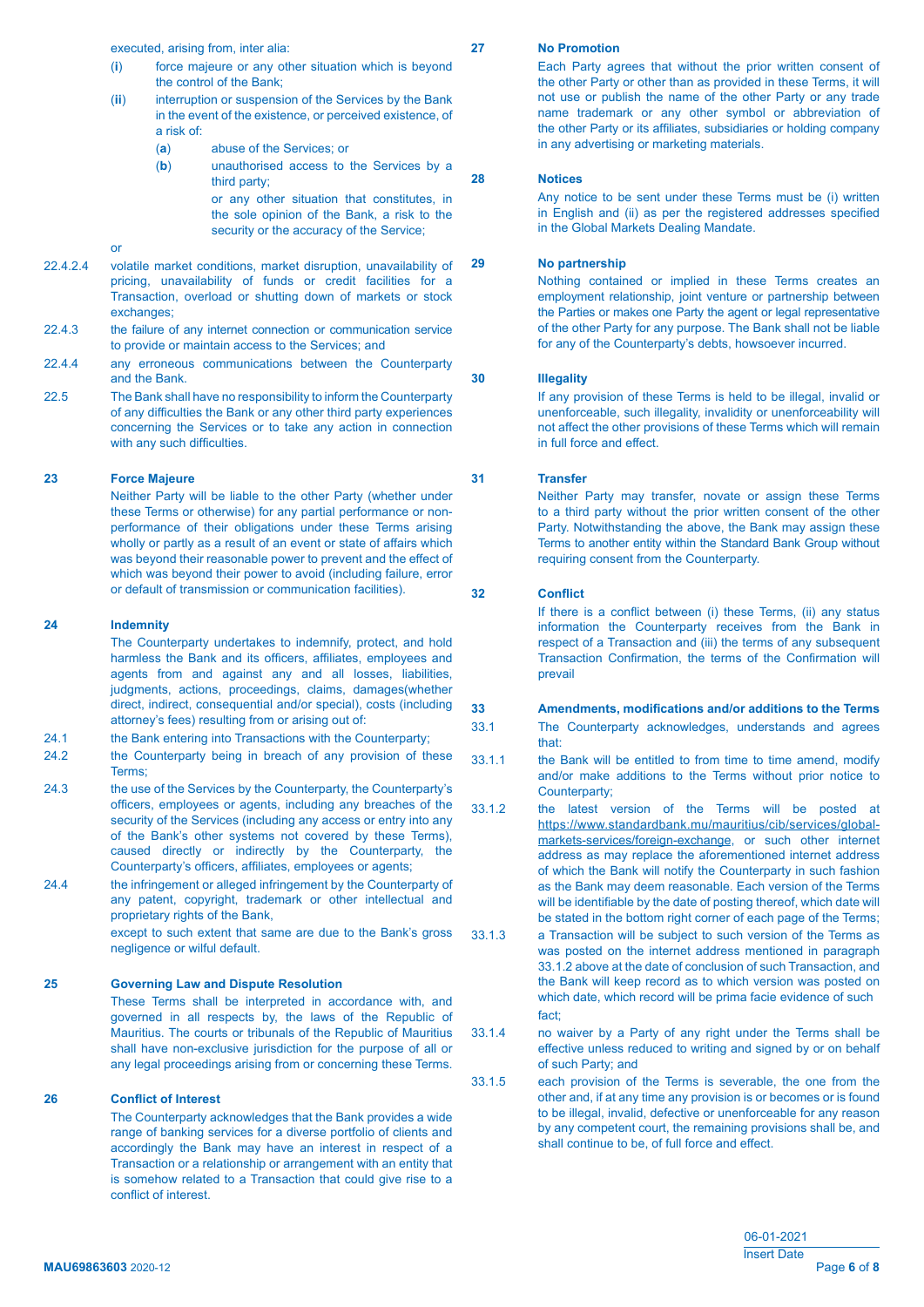executed, arising from, inter alia:

- (**i**) force majeure or any other situation which is beyond the control of the Bank;
- (**ii**) interruption or suspension of the Services by the Bank in the event of the existence, or perceived existence, of a risk of:
	- (**a**) abuse of the Services; or
	- (**b**) unauthorised access to the Services by a third party;

 or any other situation that constitutes, in the sole opinion of the Bank, a risk to the security or the accuracy of the Service;

- **or** the contract of the contract of the contract of the contract of the contract of the contract of the contract of the contract of the contract of the contract of the contract of the contract of the contract of the contr
- 22.4.2.4 volatile market conditions, market disruption, unavailability of pricing, unavailability of funds or credit facilities for a Transaction, overload or shutting down of markets or stock exchanges:
- 22.4.3 the failure of any internet connection or communication service to provide or maintain access to the Services; and
- 22.4.4 any erroneous communications between the Counterparty and the Bank.
- 22.5 The Bank shall have no responsibility to inform the Counterparty of any difficulties the Bank or any other third party experiences concerning the Services or to take any action in connection with any such difficulties.

# **23 Force Majeure**

 Neither Party will be liable to the other Party (whether under these Terms or otherwise) for any partial performance or non performance of their obligations under these Terms arising wholly or partly as a result of an event or state of affairs which was beyond their reasonable power to prevent and the effect of which was beyond their power to avoid (including failure, error or default of transmission or communication facilities).

#### **24 Indemnity**

 The Counterparty undertakes to indemnify, protect, and hold harmless the Bank and its officers, affiliates, employees and agents from and against any and all losses, liabilities, judgments, actions, proceedings, claims, damages(whether direct, indirect, consequential and/or special), costs (including attorney's fees) resulting from or arising out of:

- 24.1 the Bank entering into Transactions with the Counterparty;
- 24.2 **the Counterparty being in breach of any provision of these** Terms;
- 24.3 **the use of the Services by the Counterparty, the Counterparty's**  officers, employees or agents, including any breaches of the security of the Services (including any access or entry into any of the Bank's other systems not covered by these Terms), caused directly or indirectly by the Counterparty, the Counterparty's officers, affiliates, employees or agents;
- 24.4 the infringement or alleged infringement by the Counterparty of any patent, copyright, trademark or other intellectual and proprietary rights of the Bank.

 except to such extent that same are due to the Bank's gross negligence or wilful default.

#### **25 Governing Law and Dispute Resolution**

 These Terms shall be interpreted in accordance with, and governed in all respects by, the laws of the Republic of Mauritius. The courts or tribunals of the Republic of Mauritius shall have non-exclusive jurisdiction for the purpose of all or any legal proceedings arising from or concerning these Terms.

### **26 Conflict of Interest**

 The Counterparty acknowledges that the Bank provides a wide range of banking services for a diverse portfolio of clients and accordingly the Bank may have an interest in respect of a Transaction or a relationship or arrangement with an entity that is somehow related to a Transaction that could give rise to a conflict of interest.

#### **27 No Promotion**

 Each Party agrees that without the prior written consent of the other Party or other than as provided in these Terms, it will not use or publish the name of the other Party or any trade name trademark or any other symbol or abbreviation of the other Party or its affiliates, subsidiaries or holding company in any advertising or marketing materials.

#### **28 Notices**

 Any notice to be sent under these Terms must be (i) written in English and (ii) as per the registered addresses specified in the Global Markets Dealing Mandate.

### **29 No partnership**

 Nothing contained or implied in these Terms creates an employment relationship, joint venture or partnership between the Parties or makes one Party the agent or legal representative of the other Party for any purpose. The Bank shall not be liable for any of the Counterparty's debts, howsoever incurred.

### **30 Illegality**

 If any provision of these Terms is held to be illegal, invalid or unenforceable, such illegality, invalidity or unenforceability will not affect the other provisions of these Terms which will remain in full force and effect.

# **31 Transfer**

 Neither Party may transfer, novate or assign these Terms to a third party without the prior written consent of the other Party. Notwithstanding the above, the Bank may assign these Terms to another entity within the Standard Bank Group without requiring consent from the Counterparty.

### **32 Conflict**

 If there is a conflict between (i) these Terms, (ii) any status information the Counterparty receives from the Bank in respect of a Transaction and (iii) the terms of any subsequent Transaction Confirmation, the terms of the Confirmation will prevail

#### **33 Amendments, modifications and/or additions to the Terms**

33.1 The Counterparty acknowledges, understands and agrees that:

- 33.1.1 the Bank will be entitled to from time to time amend, modify and/or make additions to the Terms without prior notice to Counterparty;
- 33.1.2 the latest version of the Terms will be posted at [https://www.standardbank.mu/mauritius/cib/services/global](https://www.standardbank.mu/mauritius/cib/services/global-   markets-services/foreign-exchange) [markets-services/foreign-exchange](https://www.standardbank.mu/mauritius/cib/services/global-   markets-services/foreign-exchange), or such other internet address as may replace the aforementioned internet address of which the Bank will notify the Counterparty in such fashion as the Bank may deem reasonable. Each version of the Terms will be identifiable by the date of posting thereof, which date will be stated in the bottom right corner of each page of the Terms;
- 33.1.3 a Transaction will be subject to such version of the Terms as was posted on the internet address mentioned in paragraph 33.1.2 above at the date of conclusion of such Transaction, and the Bank will keep record as to which version was posted on which date, which record will be prima facie evidence of such fact;
- 33.1.4 no waiver by a Party of any right under the Terms shall be effective unless reduced to writing and signed by or on behalf of such Party; and
- 33.1.5 each provision of the Terms is severable, the one from the other and, if at any time any provision is or becomes or is found to be illegal, invalid, defective or unenforceable for any reason by any competent court, the remaining provisions shall be, and shall continue to be, of full force and effect.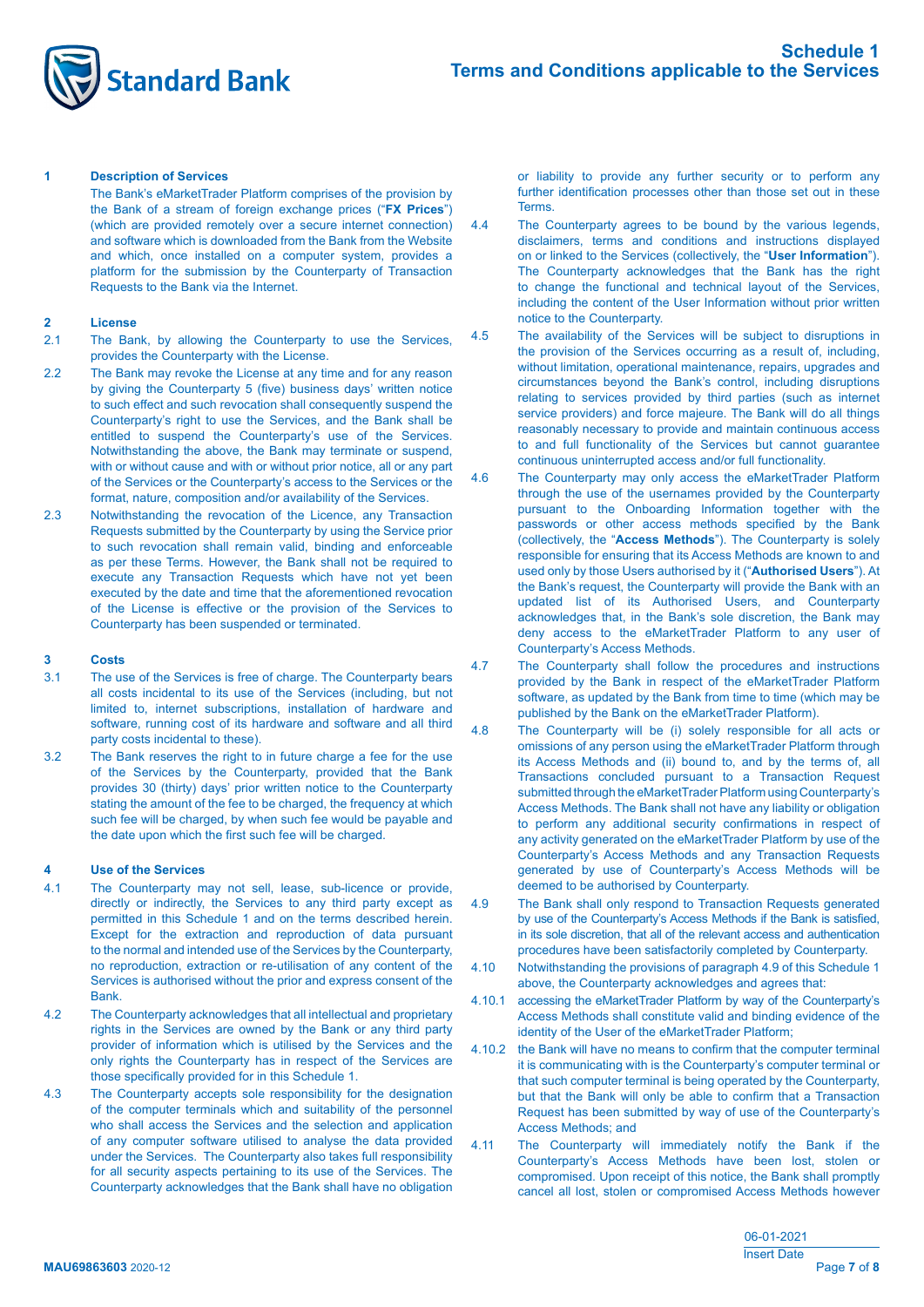

### **1 Description of Services**

 The Bank's eMarketTrader Platform comprises of the provision by the Bank of a stream of foreign exchange prices ("**FX Prices**") (which are provided remotely over a secure internet connection) and software which is downloaded from the Bank from the Website and which, once installed on a computer system, provides a platform for the submission by the Counterparty of Transaction Requests to the Bank via the Internet.

### **2 License**

- 2.1 The Bank, by allowing the Counterparty to use the Services, provides the Counterparty with the License.
- 2.2 The Bank may revoke the License at any time and for any reason by giving the Counterparty 5 (five) business days' written notice to such effect and such revocation shall consequently suspend the Counterparty's right to use the Services, and the Bank shall be entitled to suspend the Counterparty's use of the Services. Notwithstanding the above, the Bank may terminate or suspend, with or without cause and with or without prior notice, all or any part of the Services or the Counterparty's access to the Services or the format, nature, composition and/or availability of the Services.
- 2.3 Notwithstanding the revocation of the Licence, any Transaction Requests submitted by the Counterparty by using the Service prior to such revocation shall remain valid, binding and enforceable as per these Terms. However, the Bank shall not be required to execute any Transaction Requests which have not yet been executed by the date and time that the aforementioned revocation of the License is effective or the provision of the Services to Counterparty has been suspended or terminated.

#### **3 Costs**

- 3.1 The use of the Services is free of charge. The Counterparty bears all costs incidental to its use of the Services (including, but not limited to, internet subscriptions, installation of hardware and software, running cost of its hardware and software and all third party costs incidental to these).
- 3.2 The Bank reserves the right to in future charge a fee for the use of the Services by the Counterparty, provided that the Bank provides 30 (thirty) days' prior written notice to the Counterparty stating the amount of the fee to be charged, the frequency at which such fee will be charged, by when such fee would be payable and the date upon which the first such fee will be charged.

#### **4 Use of the Services**

- 4.1 The Counterparty may not sell, lease, sub-licence or provide, directly or indirectly, the Services to any third party except as permitted in this Schedule 1 and on the terms described herein. Except for the extraction and reproduction of data pursuant to the normal and intended use of the Services by the Counterparty, no reproduction, extraction or re-utilisation of any content of the Services is authorised without the prior and express consent of the Bank.
- 4.2 The Counterparty acknowledges that all intellectual and proprietary rights in the Services are owned by the Bank or any third party provider of information which is utilised by the Services and the only rights the Counterparty has in respect of the Services are those specifically provided for in this Schedule 1.
- 4.3 The Counterparty accepts sole responsibility for the designation of the computer terminals which and suitability of the personnel who shall access the Services and the selection and application of any computer software utilised to analyse the data provided under the Services. The Counterparty also takes full responsibility for all security aspects pertaining to its use of the Services. The Counterparty acknowledges that the Bank shall have no obligation

 or liability to provide any further security or to perform any further identification processes other than those set out in these **Terms** 

- 4.4 The Counterparty agrees to be bound by the various legends, disclaimers, terms and conditions and instructions displayed on or linked to the Services (collectively, the "**User Information**"). The Counterparty acknowledges that the Bank has the right to change the functional and technical layout of the Services, including the content of the User Information without prior written notice to the Counterparty.
- 4.5 The availability of the Services will be subject to disruptions in the provision of the Services occurring as a result of, including, without limitation, operational maintenance, repairs, upgrades and circumstances beyond the Bank's control, including disruptions relating to services provided by third parties (such as internet service providers) and force majeure. The Bank will do all things reasonably necessary to provide and maintain continuous access to and full functionality of the Services but cannot guarantee continuous uninterrupted access and/or full functionality.
- 4.6 The Counterparty may only access the eMarketTrader Platform through the use of the usernames provided by the Counterparty pursuant to the Onboarding Information together with the passwords or other access methods specified by the Bank (collectively, the "**Access Methods**"). The Counterparty is solely responsible for ensuring that its Access Methods are known to and used only by those Users authorised by it ("**Authorised Users**"). At the Bank's request, the Counterparty will provide the Bank with an updated list of its Authorised Users, and Counterparty acknowledges that, in the Bank's sole discretion, the Bank may deny access to the eMarketTrader Platform to any user of Counterparty's Access Methods.
- 4.7 The Counterparty shall follow the procedures and instructions provided by the Bank in respect of the eMarketTrader Platform software, as updated by the Bank from time to time (which may be published by the Bank on the eMarketTrader Platform).
- 4.8 The Counterparty will be (i) solely responsible for all acts or omissions of any person using the eMarketTrader Platform through its Access Methods and (ii) bound to, and by the terms of, all Transactions concluded pursuant to a Transaction Request submitted through the eMarketTrader Platform using Counterparty's Access Methods. The Bank shall not have any liability or obligation to perform any additional security confirmations in respect of any activity generated on the eMarketTrader Platform by use of the Counterparty's Access Methods and any Transaction Requests generated by use of Counterparty's Access Methods will be deemed to be authorised by Counterparty.
- 4.9 The Bank shall only respond to Transaction Requests generated by use of the Counterparty's Access Methods if the Bank is satisfied, in its sole discretion, that all of the relevant access and authentication procedures have been satisfactorily completed by Counterparty.
- 4.10 Notwithstanding the provisions of paragraph 4.9 of this Schedule 1 above, the Counterparty acknowledges and agrees that:
- 4.10.1 accessing the eMarketTrader Platform by way of the Counterparty's Access Methods shall constitute valid and binding evidence of the identity of the User of the eMarketTrader Platform;
- 4.10.2 the Bank will have no means to confirm that the computer terminal it is communicating with is the Counterparty's computer terminal or that such computer terminal is being operated by the Counterparty, but that the Bank will only be able to confirm that a Transaction Request has been submitted by way of use of the Counterparty's Access Methods; and
- 4.11 The Counterparty will immediately notify the Bank if the Counterparty's Access Methods have been lost, stolen or compromised. Upon receipt of this notice, the Bank shall promptly cancel all lost, stolen or compromised Access Methods however